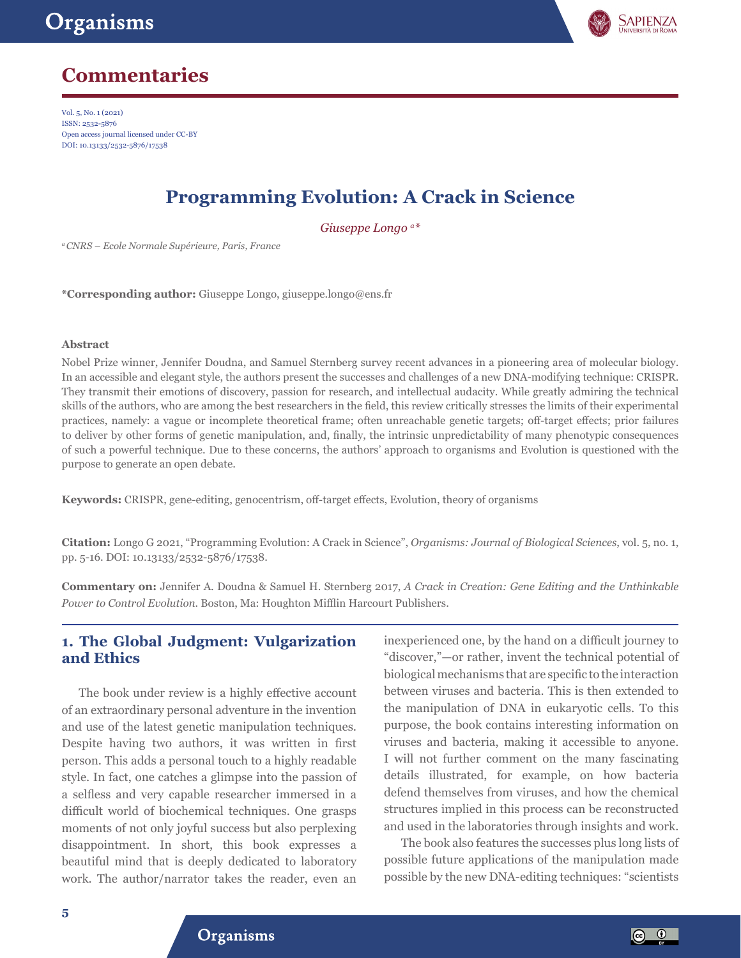

# **Commentaries**

Vol. 5, No. 1 (2021) ISSN: 2532-5876 Open access journal licensed under CC-BY DOI: 10.13133/2532-5876/17538

# **Programming Evolution: A Crack in Science**

*Giuseppe Longo a\**

*a CNRS – Ecole Normale Supérieure, Paris, France*

**\*Corresponding author:** Giuseppe Longo, giuseppe.longo@ens.fr

#### **Abstract**

Nobel Prize winner, Jennifer Doudna, and Samuel Sternberg survey recent advances in a pioneering area of molecular biology. In an accessible and elegant style, the authors present the successes and challenges of a new DNA-modifying technique: CRISPR. They transmit their emotions of discovery, passion for research, and intellectual audacity. While greatly admiring the technical skills of the authors, who are among the best researchers in the field, this review critically stresses the limits of their experimental practices, namely: a vague or incomplete theoretical frame; often unreachable genetic targets; off-target effects; prior failures to deliver by other forms of genetic manipulation, and, finally, the intrinsic unpredictability of many phenotypic consequences of such a powerful technique. Due to these concerns, the authors' approach to organisms and Evolution is questioned with the purpose to generate an open debate.

**Keywords:** CRISPR, gene-editing, genocentrism, off-target effects, Evolution, theory of organisms

**Citation:** Longo G 2021, "Programming Evolution: A Crack in Science", *Organisms: Journal of Biological Sciences*, vol. 5, no. 1, pp. 5-16. DOI: 10.13133/2532-5876/17538.

**Commentary on:** Jennifer A. Doudna & Samuel H. Sternberg 2017, *A Crack in Creation: Gene Editing and the Unthinkable Power to Control Evolution.* Boston, Ma: Houghton Mifflin Harcourt Publishers.

### **1. The Global Judgment: Vulgarization and Ethics**

The book under review is a highly effective account of an extraordinary personal adventure in the invention and use of the latest genetic manipulation techniques. Despite having two authors, it was written in first person. This adds a personal touch to a highly readable style. In fact, one catches a glimpse into the passion of a selfless and very capable researcher immersed in a difficult world of biochemical techniques. One grasps moments of not only joyful success but also perplexing disappointment. In short, this book expresses a beautiful mind that is deeply dedicated to laboratory work. The author/narrator takes the reader, even an

inexperienced one, by the hand on a difficult journey to "discover,"—or rather, invent the technical potential of biological mechanisms that are specific to the interaction between viruses and bacteria. This is then extended to the manipulation of DNA in eukaryotic cells. To this purpose, the book contains interesting information on viruses and bacteria, making it accessible to anyone. I will not further comment on the many fascinating details illustrated, for example, on how bacteria defend themselves from viruses, and how the chemical structures implied in this process can be reconstructed and used in the laboratories through insights and work.

The book also features the successes plus long lists of possible future applications of the manipulation made possible by the new DNA-editing techniques: "scientists

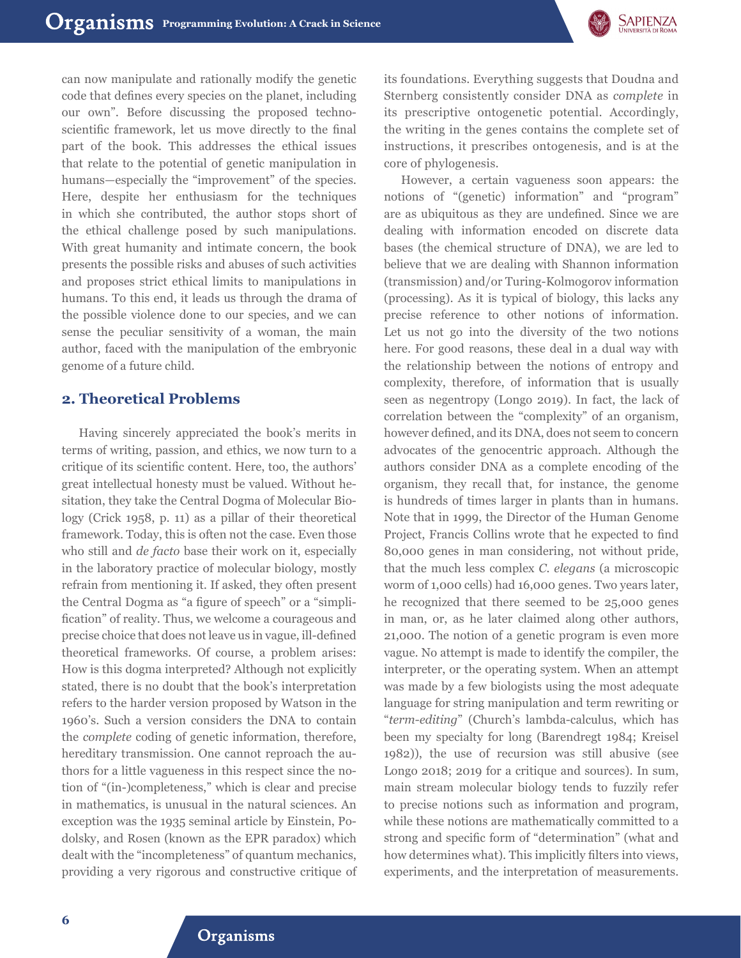

can now manipulate and rationally modify the genetic code that defines every species on the planet, including our own". Before discussing the proposed technoscientific framework, let us move directly to the final part of the book. This addresses the ethical issues that relate to the potential of genetic manipulation in humans—especially the "improvement" of the species. Here, despite her enthusiasm for the techniques in which she contributed, the author stops short of the ethical challenge posed by such manipulations. With great humanity and intimate concern, the book presents the possible risks and abuses of such activities and proposes strict ethical limits to manipulations in humans. To this end, it leads us through the drama of the possible violence done to our species, and we can sense the peculiar sensitivity of a woman, the main author, faced with the manipulation of the embryonic genome of a future child.

## **2. Theoretical Problems**

Having sincerely appreciated the book's merits in terms of writing, passion, and ethics, we now turn to a critique of its scientific content. Here, too, the authors' great intellectual honesty must be valued. Without hesitation, they take the Central Dogma of Molecular Biology (Crick 1958, p. 11) as a pillar of their theoretical framework. Today, this is often not the case. Even those who still and *de facto* base their work on it, especially in the laboratory practice of molecular biology, mostly refrain from mentioning it. If asked, they often present the Central Dogma as "a figure of speech" or a "simplification" of reality. Thus, we welcome a courageous and precise choice that does not leave us in vague, ill-defined theoretical frameworks. Of course, a problem arises: How is this dogma interpreted? Although not explicitly stated, there is no doubt that the book's interpretation refers to the harder version proposed by Watson in the 1960's. Such a version considers the DNA to contain the *complete* coding of genetic information, therefore, hereditary transmission. One cannot reproach the authors for a little vagueness in this respect since the notion of "(in-)completeness," which is clear and precise in mathematics, is unusual in the natural sciences. An exception was the 1935 seminal article by Einstein, Podolsky, and Rosen (known as the EPR paradox) which dealt with the "incompleteness" of quantum mechanics, providing a very rigorous and constructive critique of

its foundations. Everything suggests that Doudna and Sternberg consistently consider DNA as *complete* in its prescriptive ontogenetic potential. Accordingly, the writing in the genes contains the complete set of instructions, it prescribes ontogenesis, and is at the core of phylogenesis.

However, a certain vagueness soon appears: the notions of "(genetic) information" and "program" are as ubiquitous as they are undefined. Since we are dealing with information encoded on discrete data bases (the chemical structure of DNA), we are led to believe that we are dealing with Shannon information (transmission) and/or Turing-Kolmogorov information (processing). As it is typical of biology, this lacks any precise reference to other notions of information. Let us not go into the diversity of the two notions here. For good reasons, these deal in a dual way with the relationship between the notions of entropy and complexity, therefore, of information that is usually seen as negentropy (Longo 2019). In fact, the lack of correlation between the "complexity" of an organism, however defined, and its DNA, does not seem to concern advocates of the genocentric approach. Although the authors consider DNA as a complete encoding of the organism, they recall that, for instance, the genome is hundreds of times larger in plants than in humans. Note that in 1999, the Director of the Human Genome Project, Francis Collins wrote that he expected to find 80,000 genes in man considering, not without pride, that the much less complex *C. elegans* (a microscopic worm of 1,000 cells) had 16,000 genes. Two years later, he recognized that there seemed to be 25,000 genes in man, or, as he later claimed along other authors, 21,000. The notion of a genetic program is even more vague. No attempt is made to identify the compiler, the interpreter, or the operating system. When an attempt was made by a few biologists using the most adequate language for string manipulation and term rewriting or "*term-editing*" (Church's lambda-calculus, which has been my specialty for long (Barendregt 1984; Kreisel 1982)), the use of recursion was still abusive (see Longo 2018; 2019 for a critique and sources). In sum, main stream molecular biology tends to fuzzily refer to precise notions such as information and program, while these notions are mathematically committed to a strong and specific form of "determination" (what and how determines what). This implicitly filters into views, experiments, and the interpretation of measurements.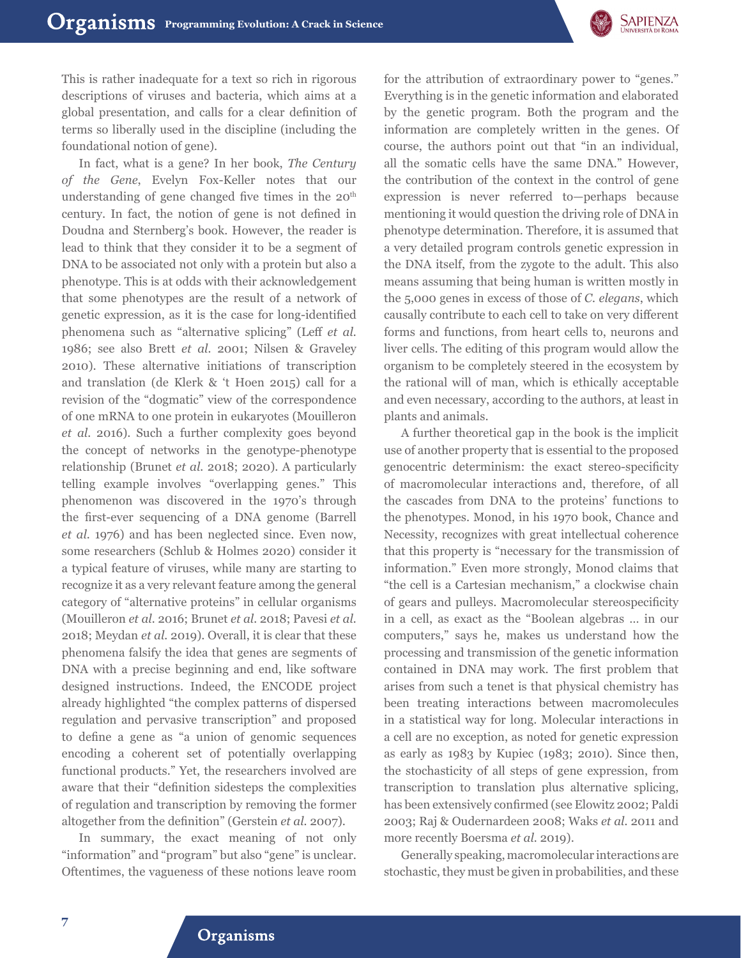

This is rather inadequate for a text so rich in rigorous descriptions of viruses and bacteria, which aims at a global presentation, and calls for a clear definition of terms so liberally used in the discipline (including the foundational notion of gene).

In fact, what is a gene? In her book, *The Century of the Gene*, Evelyn Fox-Keller notes that our understanding of gene changed five times in the 20<sup>th</sup> century. In fact, the notion of gene is not defined in Doudna and Sternberg's book. However, the reader is lead to think that they consider it to be a segment of DNA to be associated not only with a protein but also a phenotype. This is at odds with their acknowledgement that some phenotypes are the result of a network of genetic expression, as it is the case for long-identified phenomena such as "alternative splicing" (Leff *et al.* 1986; see also Brett *et al.* 2001; Nilsen & Graveley 2010). These alternative initiations of transcription and translation (de Klerk & 't Hoen 2015) call for a revision of the "dogmatic" view of the correspondence of one mRNA to one protein in eukaryotes (Mouilleron *et al.* 2016). Such a further complexity goes beyond the concept of networks in the genotype-phenotype relationship (Brunet *et al.* 2018; 2020). A particularly telling example involves "overlapping genes." This phenomenon was discovered in the 1970's through the first-ever sequencing of a DNA genome (Barrell *et al.* 1976) and has been neglected since. Even now, some researchers (Schlub & Holmes 2020) consider it a typical feature of viruses, while many are starting to recognize it as a very relevant feature among the general category of "alternative proteins" in cellular organisms (Mouilleron *et al.* 2016; Brunet *et al.* 2018; Pavesi *et al.* 2018; Meydan *et al.* 2019). Overall, it is clear that these phenomena falsify the idea that genes are segments of DNA with a precise beginning and end, like software designed instructions. Indeed, the ENCODE project already highlighted "the complex patterns of dispersed regulation and pervasive transcription" and proposed to define a gene as "a union of genomic sequences encoding a coherent set of potentially overlapping functional products." Yet, the researchers involved are aware that their "definition sidesteps the complexities of regulation and transcription by removing the former altogether from the definition" (Gerstein *et al.* 2007).

In summary, the exact meaning of not only "information" and "program" but also "gene" is unclear. Oftentimes, the vagueness of these notions leave room

for the attribution of extraordinary power to "genes." Everything is in the genetic information and elaborated by the genetic program. Both the program and the information are completely written in the genes. Of course, the authors point out that "in an individual, all the somatic cells have the same DNA." However, the contribution of the context in the control of gene expression is never referred to—perhaps because mentioning it would question the driving role of DNA in phenotype determination. Therefore, it is assumed that a very detailed program controls genetic expression in the DNA itself, from the zygote to the adult. This also means assuming that being human is written mostly in the 5,000 genes in excess of those of *C. elegans*, which causally contribute to each cell to take on very different forms and functions, from heart cells to, neurons and liver cells. The editing of this program would allow the organism to be completely steered in the ecosystem by the rational will of man, which is ethically acceptable and even necessary, according to the authors, at least in plants and animals.

A further theoretical gap in the book is the implicit use of another property that is essential to the proposed genocentric determinism: the exact stereo-specificity of macromolecular interactions and, therefore, of all the cascades from DNA to the proteins' functions to the phenotypes. Monod, in his 1970 book, Chance and Necessity, recognizes with great intellectual coherence that this property is "necessary for the transmission of information." Even more strongly, Monod claims that "the cell is a Cartesian mechanism," a clockwise chain of gears and pulleys. Macromolecular stereospecificity in a cell, as exact as the "Boolean algebras … in our computers," says he, makes us understand how the processing and transmission of the genetic information contained in DNA may work. The first problem that arises from such a tenet is that physical chemistry has been treating interactions between macromolecules in a statistical way for long. Molecular interactions in a cell are no exception, as noted for genetic expression as early as 1983 by Kupiec (1983; 2010). Since then, the stochasticity of all steps of gene expression, from transcription to translation plus alternative splicing, has been extensively confirmed (see Elowitz 2002; Paldi 2003; Raj & Oudernardeen 2008; Waks *et al.* 2011 and more recently Boersma *et al.* 2019).

Generally speaking, macromolecular interactions are stochastic, they must be given in probabilities, and these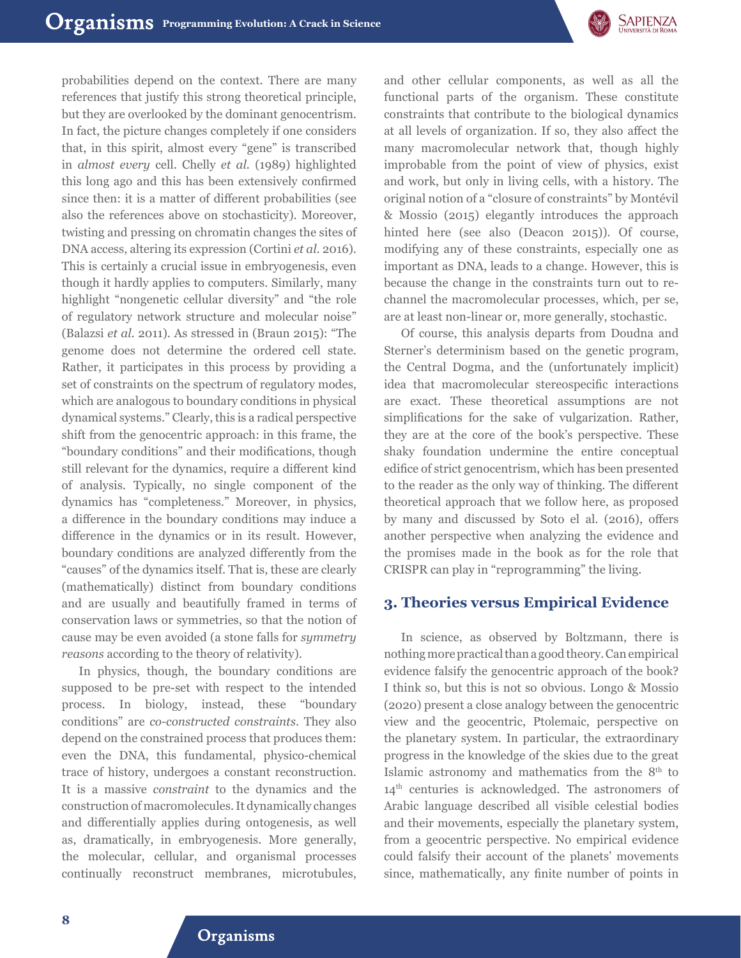

probabilities depend on the context. There are many references that justify this strong theoretical principle, but they are overlooked by the dominant genocentrism. In fact, the picture changes completely if one considers that, in this spirit, almost every "gene" is transcribed in *almost every* cell. Chelly *et al.* (1989) highlighted this long ago and this has been extensively confirmed since then: it is a matter of different probabilities (see also the references above on stochasticity). Moreover, twisting and pressing on chromatin changes the sites of DNA access, altering its expression (Cortini *et al.* 2016). This is certainly a crucial issue in embryogenesis, even though it hardly applies to computers. Similarly, many highlight "nongenetic cellular diversity" and "the role of regulatory network structure and molecular noise" (Balazsi *et al.* 2011). As stressed in (Braun 2015): "The genome does not determine the ordered cell state. Rather, it participates in this process by providing a set of constraints on the spectrum of regulatory modes, which are analogous to boundary conditions in physical dynamical systems." Clearly, this is a radical perspective shift from the genocentric approach: in this frame, the "boundary conditions" and their modifications, though still relevant for the dynamics, require a different kind of analysis. Typically, no single component of the dynamics has "completeness." Moreover, in physics, a difference in the boundary conditions may induce a difference in the dynamics or in its result. However, boundary conditions are analyzed differently from the "causes" of the dynamics itself. That is, these are clearly (mathematically) distinct from boundary conditions and are usually and beautifully framed in terms of conservation laws or symmetries, so that the notion of cause may be even avoided (a stone falls for *symmetry reasons* according to the theory of relativity).

In physics, though, the boundary conditions are supposed to be pre-set with respect to the intended process. In biology, instead, these "boundary conditions" are *co-constructed constraints*. They also depend on the constrained process that produces them: even the DNA, this fundamental, physico-chemical trace of history, undergoes a constant reconstruction. It is a massive *constraint* to the dynamics and the construction of macromolecules. It dynamically changes and differentially applies during ontogenesis, as well as, dramatically, in embryogenesis. More generally, the molecular, cellular, and organismal processes continually reconstruct membranes, microtubules,

and other cellular components, as well as all the functional parts of the organism. These constitute constraints that contribute to the biological dynamics at all levels of organization. If so, they also affect the many macromolecular network that, though highly improbable from the point of view of physics, exist and work, but only in living cells, with a history. The original notion of a "closure of constraints" by Montévil & Mossio (2015) elegantly introduces the approach hinted here (see also (Deacon 2015)). Of course, modifying any of these constraints, especially one as important as DNA, leads to a change. However, this is because the change in the constraints turn out to rechannel the macromolecular processes, which, per se, are at least non-linear or, more generally, stochastic.

Of course, this analysis departs from Doudna and Sterner's determinism based on the genetic program, the Central Dogma, and the (unfortunately implicit) idea that macromolecular stereospecific interactions are exact. These theoretical assumptions are not simplifications for the sake of vulgarization. Rather, they are at the core of the book's perspective. These shaky foundation undermine the entire conceptual edifice of strict genocentrism, which has been presented to the reader as the only way of thinking. The different theoretical approach that we follow here, as proposed by many and discussed by Soto el al. (2016), offers another perspective when analyzing the evidence and the promises made in the book as for the role that CRISPR can play in "reprogramming" the living.

#### **3. Theories versus Empirical Evidence**

In science, as observed by Boltzmann, there is nothing more practical than a good theory. Can empirical evidence falsify the genocentric approach of the book? I think so, but this is not so obvious. Longo & Mossio (2020) present a close analogy between the genocentric view and the geocentric, Ptolemaic, perspective on the planetary system. In particular, the extraordinary progress in the knowledge of the skies due to the great Islamic astronomy and mathematics from the 8th to 14<sup>th</sup> centuries is acknowledged. The astronomers of Arabic language described all visible celestial bodies and their movements, especially the planetary system, from a geocentric perspective. No empirical evidence could falsify their account of the planets' movements since, mathematically, any finite number of points in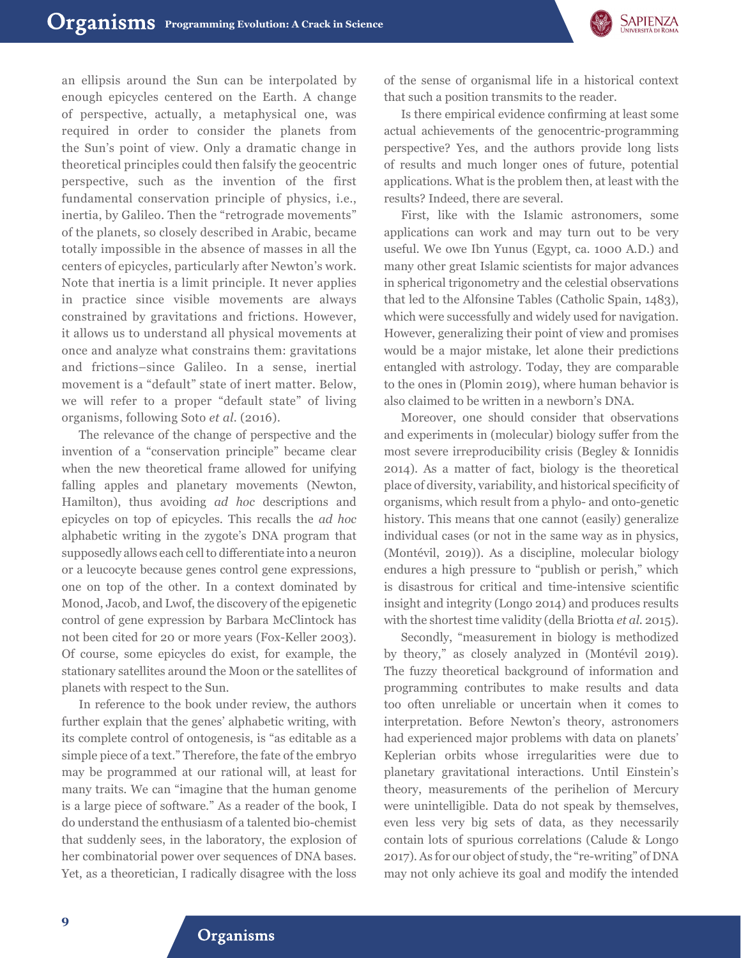

an ellipsis around the Sun can be interpolated by enough epicycles centered on the Earth. A change of perspective, actually, a metaphysical one, was required in order to consider the planets from the Sun's point of view. Only a dramatic change in theoretical principles could then falsify the geocentric perspective, such as the invention of the first fundamental conservation principle of physics, i.e., inertia, by Galileo. Then the "retrograde movements" of the planets, so closely described in Arabic, became totally impossible in the absence of masses in all the centers of epicycles, particularly after Newton's work. Note that inertia is a limit principle. It never applies in practice since visible movements are always constrained by gravitations and frictions. However, it allows us to understand all physical movements at once and analyze what constrains them: gravitations and frictions–since Galileo. In a sense, inertial movement is a "default" state of inert matter. Below, we will refer to a proper "default state" of living organisms, following Soto *et al.* (2016).

The relevance of the change of perspective and the invention of a "conservation principle" became clear when the new theoretical frame allowed for unifying falling apples and planetary movements (Newton, Hamilton), thus avoiding *ad hoc* descriptions and epicycles on top of epicycles. This recalls the *ad hoc* alphabetic writing in the zygote's DNA program that supposedly allows each cell to differentiate into a neuron or a leucocyte because genes control gene expressions, one on top of the other. In a context dominated by Monod, Jacob, and Lwof, the discovery of the epigenetic control of gene expression by Barbara McClintock has not been cited for 20 or more years (Fox-Keller 2003). Of course, some epicycles do exist, for example, the stationary satellites around the Moon or the satellites of planets with respect to the Sun.

In reference to the book under review, the authors further explain that the genes' alphabetic writing, with its complete control of ontogenesis, is "as editable as a simple piece of a text." Therefore, the fate of the embryo may be programmed at our rational will, at least for many traits. We can "imagine that the human genome is a large piece of software." As a reader of the book, I do understand the enthusiasm of a talented bio-chemist that suddenly sees, in the laboratory, the explosion of her combinatorial power over sequences of DNA bases. Yet, as a theoretician, I radically disagree with the loss of the sense of organismal life in a historical context that such a position transmits to the reader.

Is there empirical evidence confirming at least some actual achievements of the genocentric-programming perspective? Yes, and the authors provide long lists of results and much longer ones of future, potential applications. What is the problem then, at least with the results? Indeed, there are several.

First, like with the Islamic astronomers, some applications can work and may turn out to be very useful. We owe Ibn Yunus (Egypt, ca. 1000 A.D.) and many other great Islamic scientists for major advances in spherical trigonometry and the celestial observations that led to the Alfonsine Tables (Catholic Spain, 1483), which were successfully and widely used for navigation. However, generalizing their point of view and promises would be a major mistake, let alone their predictions entangled with astrology. Today, they are comparable to the ones in (Plomin 2019), where human behavior is also claimed to be written in a newborn's DNA.

Moreover, one should consider that observations and experiments in (molecular) biology suffer from the most severe irreproducibility crisis (Begley & Ionnidis 2014). As a matter of fact, biology is the theoretical place of diversity, variability, and historical specificity of organisms, which result from a phylo- and onto-genetic history. This means that one cannot (easily) generalize individual cases (or not in the same way as in physics, (Montévil, 2019)). As a discipline, molecular biology endures a high pressure to "publish or perish," which is disastrous for critical and time-intensive scientific insight and integrity (Longo 2014) and produces results with the shortest time validity (della Briotta *et al.* 2015).

Secondly, "measurement in biology is methodized by theory," as closely analyzed in (Montévil 2019). The fuzzy theoretical background of information and programming contributes to make results and data too often unreliable or uncertain when it comes to interpretation. Before Newton's theory, astronomers had experienced major problems with data on planets' Keplerian orbits whose irregularities were due to planetary gravitational interactions. Until Einstein's theory, measurements of the perihelion of Mercury were unintelligible. Data do not speak by themselves, even less very big sets of data, as they necessarily contain lots of spurious correlations (Calude & Longo 2017). As for our object of study, the "re-writing" of DNA may not only achieve its goal and modify the intended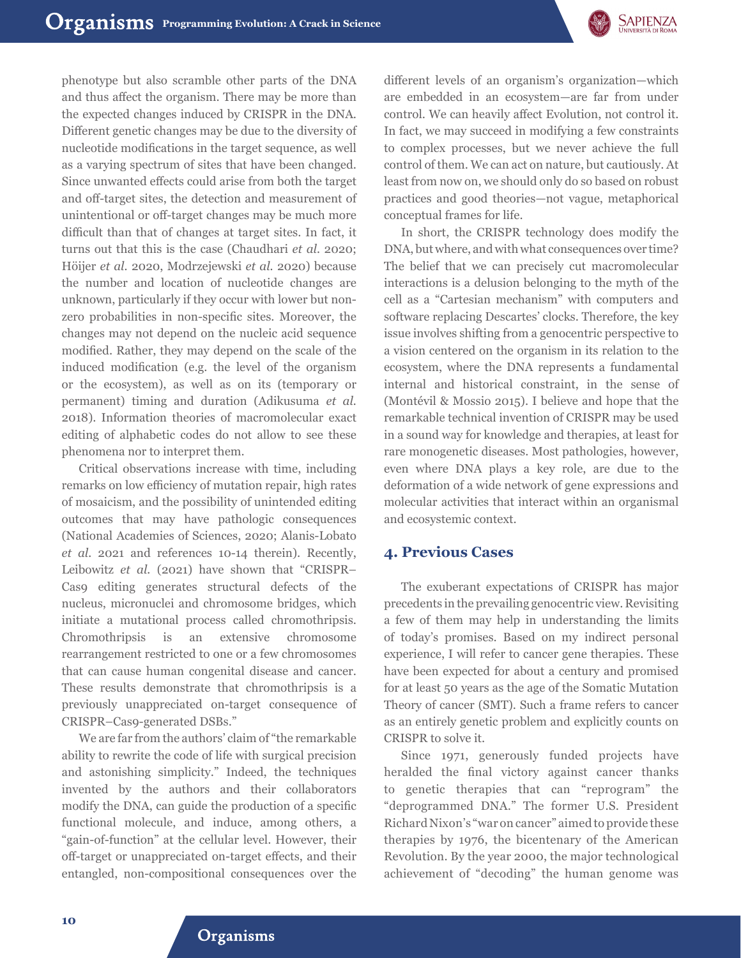

phenotype but also scramble other parts of the DNA and thus affect the organism. There may be more than the expected changes induced by CRISPR in the DNA. Different genetic changes may be due to the diversity of nucleotide modifications in the target sequence, as well as a varying spectrum of sites that have been changed. Since unwanted effects could arise from both the target and off-target sites, the detection and measurement of unintentional or off-target changes may be much more difficult than that of changes at target sites. In fact, it turns out that this is the case (Chaudhari *et al.* 2020; Höijer *et al.* 2020, Modrzejewski *et al.* 2020) because the number and location of nucleotide changes are unknown, particularly if they occur with lower but nonzero probabilities in non-specific sites. Moreover, the changes may not depend on the nucleic acid sequence modified. Rather, they may depend on the scale of the induced modification (e.g. the level of the organism or the ecosystem), as well as on its (temporary or permanent) timing and duration (Adikusuma *et al.* 2018). Information theories of macromolecular exact editing of alphabetic codes do not allow to see these phenomena nor to interpret them.

Critical observations increase with time, including remarks on low efficiency of mutation repair, high rates of mosaicism, and the possibility of unintended editing outcomes that may have pathologic consequences (National Academies of Sciences, 2020; Alanis-Lobato *et al.* 2021 and references 10-14 therein). Recently, Leibowitz *et al.* (2021) have shown that "CRISPR– Cas9 editing generates structural defects of the nucleus, micronuclei and chromosome bridges, which initiate a mutational process called chromothripsis. Chromothripsis is an extensive chromosome rearrangement restricted to one or a few chromosomes that can cause human congenital disease and cancer. These results demonstrate that chromothripsis is a previously unappreciated on-target consequence of CRISPR–Cas9-generated DSBs."

We are far from the authors' claim of "the remarkable ability to rewrite the code of life with surgical precision and astonishing simplicity." Indeed, the techniques invented by the authors and their collaborators modify the DNA, can guide the production of a specific functional molecule, and induce, among others, a "gain-of-function" at the cellular level. However, their off-target or unappreciated on-target effects, and their entangled, non-compositional consequences over the

different levels of an organism's organization—which are embedded in an ecosystem—are far from under control. We can heavily affect Evolution, not control it. In fact, we may succeed in modifying a few constraints to complex processes, but we never achieve the full control of them. We can act on nature, but cautiously. At least from now on, we should only do so based on robust practices and good theories—not vague, metaphorical conceptual frames for life.

In short, the CRISPR technology does modify the DNA, but where, and with what consequences over time? The belief that we can precisely cut macromolecular interactions is a delusion belonging to the myth of the cell as a "Cartesian mechanism" with computers and software replacing Descartes' clocks. Therefore, the key issue involves shifting from a genocentric perspective to a vision centered on the organism in its relation to the ecosystem, where the DNA represents a fundamental internal and historical constraint, in the sense of (Montévil & Mossio 2015). I believe and hope that the remarkable technical invention of CRISPR may be used in a sound way for knowledge and therapies, at least for rare monogenetic diseases. Most pathologies, however, even where DNA plays a key role, are due to the deformation of a wide network of gene expressions and molecular activities that interact within an organismal and ecosystemic context.

#### **4. Previous Cases**

The exuberant expectations of CRISPR has major precedents in the prevailing genocentric view. Revisiting a few of them may help in understanding the limits of today's promises. Based on my indirect personal experience, I will refer to cancer gene therapies. These have been expected for about a century and promised for at least 50 years as the age of the Somatic Mutation Theory of cancer (SMT). Such a frame refers to cancer as an entirely genetic problem and explicitly counts on CRISPR to solve it.

Since 1971, generously funded projects have heralded the final victory against cancer thanks to genetic therapies that can "reprogram" the "deprogrammed DNA." The former U.S. President Richard Nixon's "war on cancer" aimed to provide these therapies by 1976, the bicentenary of the American Revolution. By the year 2000, the major technological achievement of "decoding" the human genome was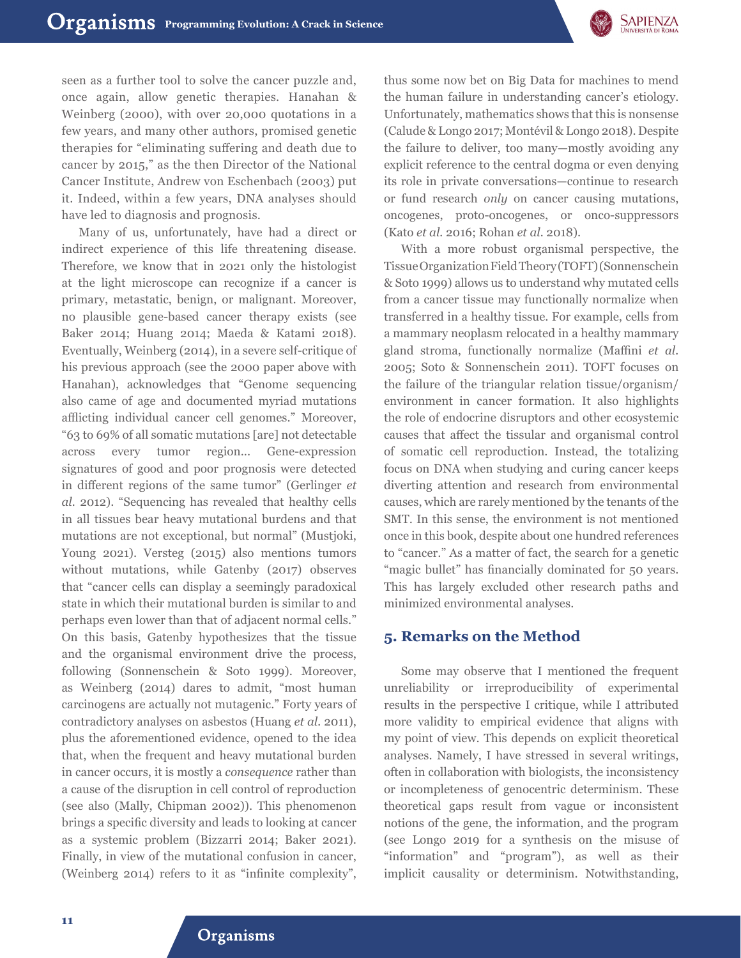

seen as a further tool to solve the cancer puzzle and, once again, allow genetic therapies. Hanahan & Weinberg (2000), with over 20,000 quotations in a few years, and many other authors, promised genetic therapies for "eliminating suffering and death due to cancer by 2015," as the then Director of the National Cancer Institute, Andrew von Eschenbach (2003) put it. Indeed, within a few years, DNA analyses should have led to diagnosis and prognosis.

Many of us, unfortunately, have had a direct or indirect experience of this life threatening disease. Therefore, we know that in 2021 only the histologist at the light microscope can recognize if a cancer is primary, metastatic, benign, or malignant. Moreover, no plausible gene-based cancer therapy exists (see Baker 2014; Huang 2014; Maeda & Katami 2018). Eventually, Weinberg (2014), in a severe self-critique of his previous approach (see the 2000 paper above with Hanahan), acknowledges that "Genome sequencing also came of age and documented myriad mutations afflicting individual cancer cell genomes." Moreover, "63 to 69% of all somatic mutations [are] not detectable across every tumor region... Gene-expression signatures of good and poor prognosis were detected in different regions of the same tumor" (Gerlinger *et al.* 2012). "Sequencing has revealed that healthy cells in all tissues bear heavy mutational burdens and that mutations are not exceptional, but normal" (Mustjoki, Young 2021). Versteg (2015) also mentions tumors without mutations, while Gatenby (2017) observes that "cancer cells can display a seemingly paradoxical state in which their mutational burden is similar to and perhaps even lower than that of adjacent normal cells." On this basis, Gatenby hypothesizes that the tissue and the organismal environment drive the process, following (Sonnenschein & Soto 1999). Moreover, as Weinberg (2014) dares to admit, "most human carcinogens are actually not mutagenic." Forty years of contradictory analyses on asbestos (Huang *et al.* 2011), plus the aforementioned evidence, opened to the idea that, when the frequent and heavy mutational burden in cancer occurs, it is mostly a *consequence* rather than a cause of the disruption in cell control of reproduction (see also (Mally, Chipman 2002)). This phenomenon brings a specific diversity and leads to looking at cancer as a systemic problem (Bizzarri 2014; Baker 2021). Finally, in view of the mutational confusion in cancer, (Weinberg 2014) refers to it as "infinite complexity",

thus some now bet on Big Data for machines to mend the human failure in understanding cancer's etiology. Unfortunately, mathematics shows that this is nonsense (Calude & Longo 2017; Montévil & Longo 2018). Despite the failure to deliver, too many—mostly avoiding any explicit reference to the central dogma or even denying its role in private conversations—continue to research or fund research *only* on cancer causing mutations, oncogenes, proto-oncogenes, or onco-suppressors (Kato *et al.* 2016; Rohan *et al.* 2018).

With a more robust organismal perspective, the Tissue Organization Field Theory (TOFT) (Sonnenschein & Soto 1999) allows us to understand why mutated cells from a cancer tissue may functionally normalize when transferred in a healthy tissue. For example, cells from a mammary neoplasm relocated in a healthy mammary gland stroma, functionally normalize (Maffini *et al.* 2005; Soto & Sonnenschein 2011). TOFT focuses on the failure of the triangular relation tissue/organism/ environment in cancer formation. It also highlights the role of endocrine disruptors and other ecosystemic causes that affect the tissular and organismal control of somatic cell reproduction. Instead, the totalizing focus on DNA when studying and curing cancer keeps diverting attention and research from environmental causes, which are rarely mentioned by the tenants of the SMT. In this sense, the environment is not mentioned once in this book, despite about one hundred references to "cancer." As a matter of fact, the search for a genetic "magic bullet" has financially dominated for 50 years. This has largely excluded other research paths and minimized environmental analyses.

### **5. Remarks on the Method**

Some may observe that I mentioned the frequent unreliability or irreproducibility of experimental results in the perspective I critique, while I attributed more validity to empirical evidence that aligns with my point of view. This depends on explicit theoretical analyses. Namely, I have stressed in several writings, often in collaboration with biologists, the inconsistency or incompleteness of genocentric determinism. These theoretical gaps result from vague or inconsistent notions of the gene, the information, and the program (see Longo 2019 for a synthesis on the misuse of "information" and "program"), as well as their implicit causality or determinism. Notwithstanding,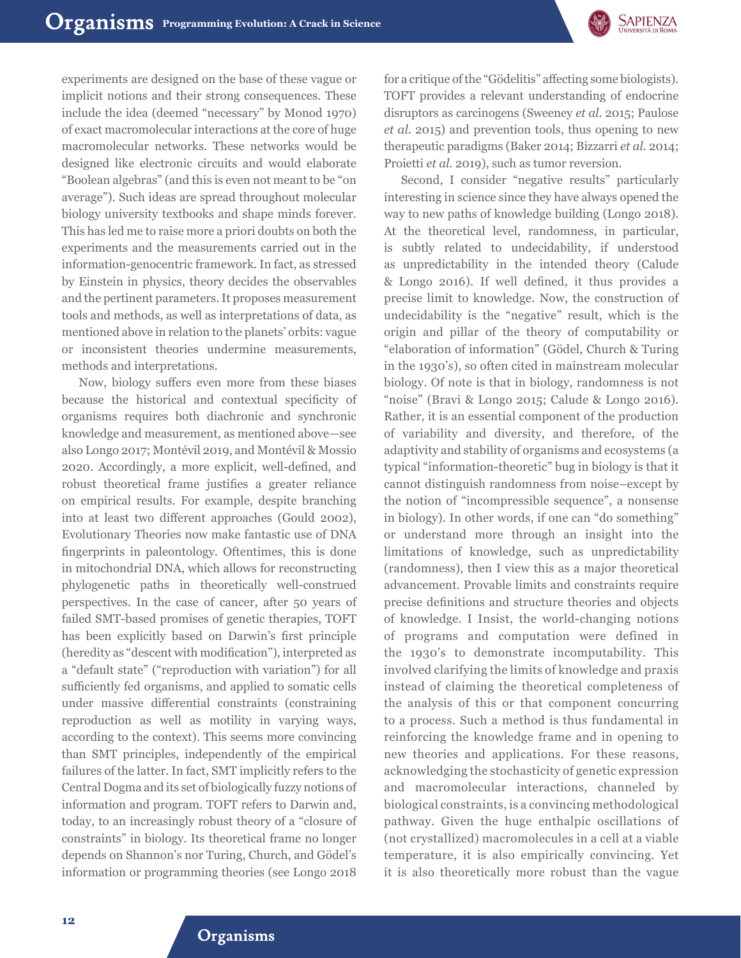

experiments are designed on the base of these vague or implicit notions and their strong consequences. These include the idea (deemed "necessary" by Monod 1970) of exact macromolecular interactions at the core of huge macromolecular networks. These networks would be designed like electronic circuits and would elaborate "Boolean algebras" (and this is even not meant to be "on average"). Such ideas are spread throughout molecular biology university textbooks and shape minds forever. This has led me to raise more a priori doubts on both the experiments and the measurements carried out in the information-genocentric framework. In fact, as stressed by Einstein in physics, theory decides the observables and the pertinent parameters. It proposes measurement tools and methods, as well as interpretations of data, as mentioned above in relation to the planets' orbits: vague or inconsistent theories undermine measurements, methods and interpretations.

Now, biology suffers even more from these biases because the historical and contextual specificity of organisms requires both diachronic and synchronic knowledge and measurement, as mentioned above—see also Longo 2017; Montévil 2019, and Montévil & Mossio 2020. Accordingly, a more explicit, well-defined, and robust theoretical frame justifies a greater reliance on empirical results. For example, despite branching into at least two different approaches (Gould 2002), Evolutionary Theories now make fantastic use of DNA fingerprints in paleontology. Oftentimes, this is done in mitochondrial DNA, which allows for reconstructing phylogenetic paths in theoretically well-construed perspectives. In the case of cancer, after 50 years of failed SMT-based promises of genetic therapies, TOFT has been explicitly based on Darwin's first principle (heredity as "descent with modification"), interpreted as a "default state" ("reproduction with variation") for all sufficiently fed organisms, and applied to somatic cells under massive differential constraints (constraining reproduction as well as motility in varying ways, according to the context). This seems more convincing than SMT principles, independently of the empirical failures of the latter. In fact, SMT implicitly refers to the Central Dogma and its set of biologically fuzzy notions of information and program. TOFT refers to Darwin and, today, to an increasingly robust theory of a "closure of constraints" in biology. Its theoretical frame no longer depends on Shannon's nor Turing, Church, and Gödel's information or programming theories (see Longo 2018

for a critique of the "Gödelitis" affecting some biologists). TOFT provides a relevant understanding of endocrine disruptors as carcinogens (Sweeney *et al.* 2015; Paulose *et al.* 2015) and prevention tools, thus opening to new therapeutic paradigms (Baker 2014; Bizzarri *et al.* 2014; Proietti *et al.* 2019), such as tumor reversion.

Second, I consider "negative results" particularly interesting in science since they have always opened the way to new paths of knowledge building (Longo 2018). At the theoretical level, randomness, in particular, is subtly related to undecidability, if understood as unpredictability in the intended theory (Calude & Longo 2016). If well defined, it thus provides a precise limit to knowledge. Now, the construction of undecidability is the "negative" result, which is the origin and pillar of the theory of computability or "elaboration of information" (Gödel, Church & Turing in the 1930's), so often cited in mainstream molecular biology. Of note is that in biology, randomness is not "noise" (Bravi & Longo 2015; Calude & Longo 2016). Rather, it is an essential component of the production of variability and diversity, and therefore, of the adaptivity and stability of organisms and ecosystems (a typical "information-theoretic" bug in biology is that it cannot distinguish randomness from noise–except by the notion of "incompressible sequence", a nonsense in biology). In other words, if one can "do something" or understand more through an insight into the limitations of knowledge, such as unpredictability (randomness), then I view this as a major theoretical advancement. Provable limits and constraints require precise definitions and structure theories and objects of knowledge. I Insist, the world-changing notions of programs and computation were defined in the 1930's to demonstrate incomputability. This involved clarifying the limits of knowledge and praxis instead of claiming the theoretical completeness of the analysis of this or that component concurring to a process. Such a method is thus fundamental in reinforcing the knowledge frame and in opening to new theories and applications. For these reasons, acknowledging the stochasticity of genetic expression and macromolecular interactions, channeled by biological constraints, is a convincing methodological pathway. Given the huge enthalpic oscillations of (not crystallized) macromolecules in a cell at a viable temperature, it is also empirically convincing. Yet it is also theoretically more robust than the vague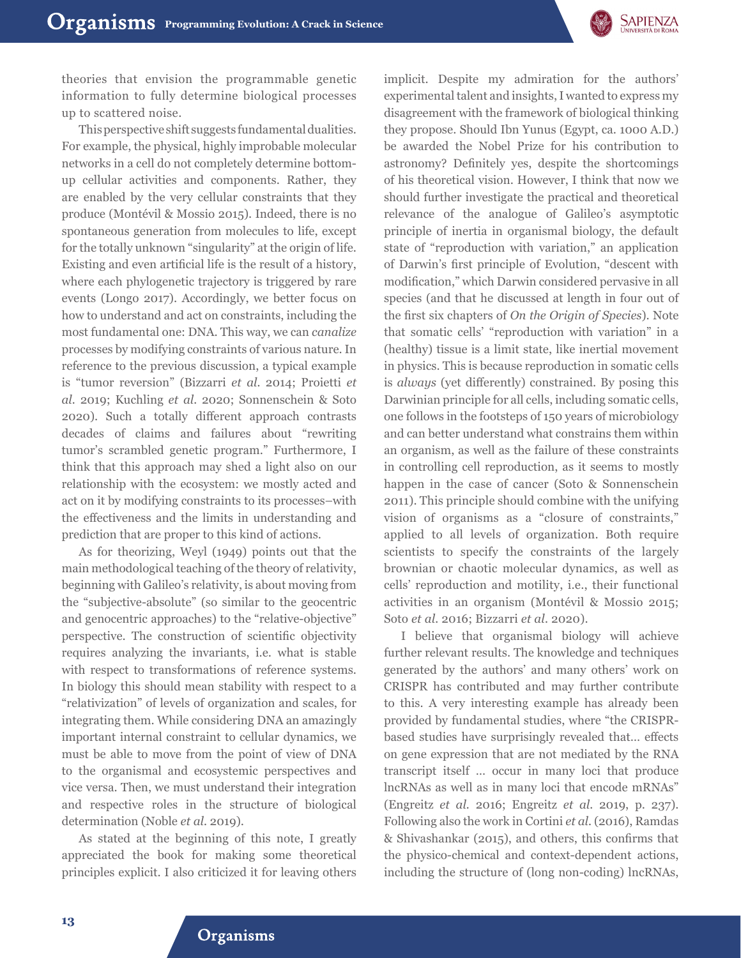

theories that envision the programmable genetic information to fully determine biological processes up to scattered noise.

This perspective shift suggests fundamental dualities. For example, the physical, highly improbable molecular networks in a cell do not completely determine bottomup cellular activities and components. Rather, they are enabled by the very cellular constraints that they produce (Montévil & Mossio 2015). Indeed, there is no spontaneous generation from molecules to life, except for the totally unknown "singularity" at the origin of life. Existing and even artificial life is the result of a history, where each phylogenetic trajectory is triggered by rare events (Longo 2017). Accordingly, we better focus on how to understand and act on constraints, including the most fundamental one: DNA. This way, we can *canalize* processes by modifying constraints of various nature. In reference to the previous discussion, a typical example is "tumor reversion" (Bizzarri *et al.* 2014; Proietti *et al.* 2019; Kuchling *et al.* 2020; Sonnenschein & Soto 2020). Such a totally different approach contrasts decades of claims and failures about "rewriting tumor's scrambled genetic program." Furthermore, I think that this approach may shed a light also on our relationship with the ecosystem: we mostly acted and act on it by modifying constraints to its processes–with the effectiveness and the limits in understanding and prediction that are proper to this kind of actions.

As for theorizing, Weyl (1949) points out that the main methodological teaching of the theory of relativity, beginning with Galileo's relativity, is about moving from the "subjective-absolute" (so similar to the geocentric and genocentric approaches) to the "relative-objective" perspective. The construction of scientific objectivity requires analyzing the invariants, i.e. what is stable with respect to transformations of reference systems. In biology this should mean stability with respect to a "relativization" of levels of organization and scales, for integrating them. While considering DNA an amazingly important internal constraint to cellular dynamics, we must be able to move from the point of view of DNA to the organismal and ecosystemic perspectives and vice versa. Then, we must understand their integration and respective roles in the structure of biological determination (Noble *et al.* 2019).

As stated at the beginning of this note, I greatly appreciated the book for making some theoretical principles explicit. I also criticized it for leaving others

implicit. Despite my admiration for the authors' experimental talent and insights, I wanted to express my disagreement with the framework of biological thinking they propose. Should Ibn Yunus (Egypt, ca. 1000 A.D.) be awarded the Nobel Prize for his contribution to astronomy? Definitely yes, despite the shortcomings of his theoretical vision. However, I think that now we should further investigate the practical and theoretical relevance of the analogue of Galileo's asymptotic principle of inertia in organismal biology, the default state of "reproduction with variation," an application of Darwin's first principle of Evolution, "descent with modification," which Darwin considered pervasive in all species (and that he discussed at length in four out of the first six chapters of *On the Origin of Species*). Note that somatic cells' "reproduction with variation" in a (healthy) tissue is a limit state, like inertial movement in physics. This is because reproduction in somatic cells is *always* (yet differently) constrained. By posing this Darwinian principle for all cells, including somatic cells, one follows in the footsteps of 150 years of microbiology and can better understand what constrains them within an organism, as well as the failure of these constraints in controlling cell reproduction, as it seems to mostly happen in the case of cancer (Soto & Sonnenschein 2011). This principle should combine with the unifying vision of organisms as a "closure of constraints," applied to all levels of organization. Both require scientists to specify the constraints of the largely brownian or chaotic molecular dynamics, as well as cells' reproduction and motility, i.e., their functional activities in an organism (Montévil & Mossio 2015; Soto *et al.* 2016; Bizzarri *et al.* 2020).

I believe that organismal biology will achieve further relevant results. The knowledge and techniques generated by the authors' and many others' work on CRISPR has contributed and may further contribute to this. A very interesting example has already been provided by fundamental studies, where "the CRISPRbased studies have surprisingly revealed that… effects on gene expression that are not mediated by the RNA transcript itself … occur in many loci that produce lncRNAs as well as in many loci that encode mRNAs" (Engreitz *et al.* 2016; Engreitz *et al.* 2019, p. 237). Following also the work in Cortini *et al.* (2016), Ramdas & Shivashankar (2015), and others, this confirms that the physico-chemical and context-dependent actions, including the structure of (long non-coding) lncRNAs,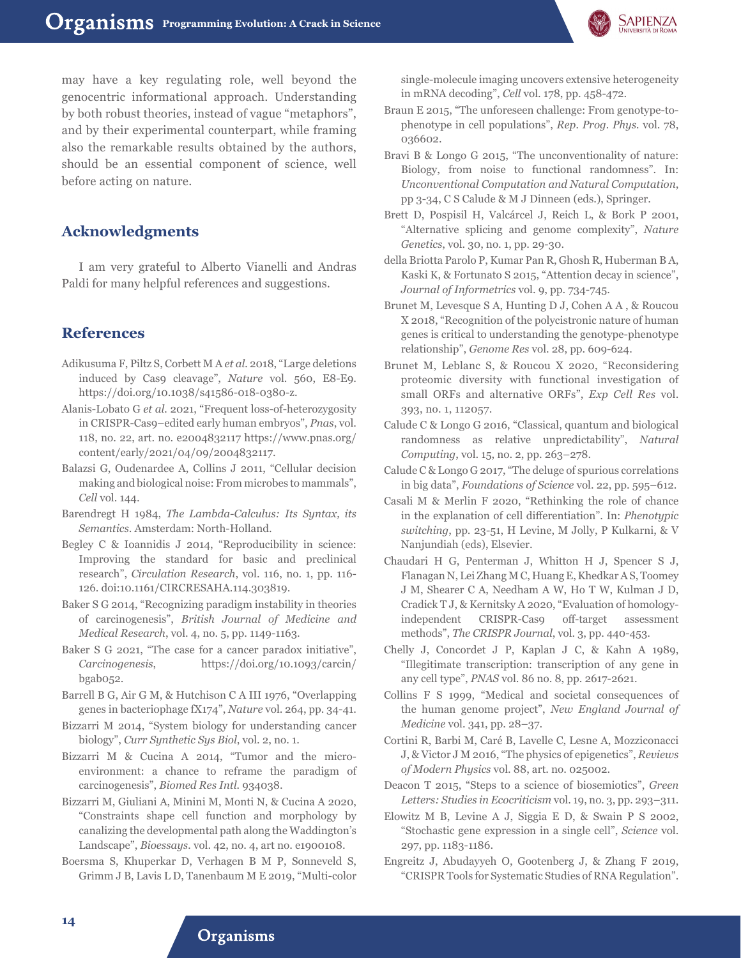

may have a key regulating role, well beyond the genocentric informational approach. Understanding by both robust theories, instead of vague "metaphors", and by their experimental counterpart, while framing also the remarkable results obtained by the authors, should be an essential component of science, well before acting on nature.

# **Acknowledgments**

I am very grateful to Alberto Vianelli and Andras Paldi for many helpful references and suggestions.

### **References**

- Adikusuma F, Piltz S, Corbett M A *et al.* 2018, "Large deletions induced by Cas9 cleavage", *Nature* vol. 560, E8-E9. https://doi.org/10.1038/s41586-018-0380-z.
- Alanis-Lobato G *et al.* 2021, "Frequent loss-of-heterozygosity in CRISPR-Cas9–edited early human embryos", *Pnas*, vol. 118, no. 22, art. no. e2004832117 https://www.pnas.org/ content/early/2021/04/09/2004832117.
- Balazsi G, Oudenardee A, Collins J 2011, "Cellular decision making and biological noise: From microbes to mammals", *Cell* vol. 144.
- Barendregt H 1984, *The Lambda-Calculus: Its Syntax, its Semantics*. Amsterdam: North-Holland.
- Begley C & Ioannidis J 2014, "Reproducibility in science: Improving the standard for basic and preclinical research", *Circulation Research*, vol. 116, no. 1, pp. 116- 126. doi:10.1161/CIRCRESAHA.114.303819.
- Baker S G 2014, "Recognizing paradigm instability in theories of carcinogenesis", *British Journal of Medicine and Medical Research*, vol. 4, no. 5, pp. 1149-1163.
- Baker S G 2021, "The case for a cancer paradox initiative", *Carcinogenesis*, https://doi.org/10.1093/carcin/ bgab052.
- Barrell B G, Air G M, & Hutchison C A III 1976, "Overlapping genes in bacteriophage fX174", *Nature* vol. 264, pp. 34-41.
- Bizzarri M 2014, "System biology for understanding cancer biology", *Curr Synthetic Sys Biol*, vol. 2, no. 1.
- Bizzarri M & Cucina A 2014, "Tumor and the microenvironment: a chance to reframe the paradigm of carcinogenesis", *Biomed Res Intl.* 934038.
- Bizzarri M, Giuliani A, Minini M, Monti N, & Cucina A 2020, "Constraints shape cell function and morphology by canalizing the developmental path along the Waddington's Landscape", *Bioessays.* vol. 42, no. 4, art no. e1900108.
- Boersma S, Khuperkar D, Verhagen B M P, Sonneveld S, Grimm J B, Lavis L D, Tanenbaum M E 2019, "Multi-color

single-molecule imaging uncovers extensive heterogeneity in mRNA decoding", *Cell* vol. 178, pp. 458-472.

- Braun E 2015, "The unforeseen challenge: From genotype-tophenotype in cell populations", *Rep. Prog. Phys.* vol. 78, 036602.
- Bravi B & Longo G 2015, "The unconventionality of nature: Biology, from noise to functional randomness". In: *Unconventional Computation and Natural Computation*, pp 3-34, C S Calude & M J Dinneen (eds.), Springer.
- Brett D, Pospisil H, Valcárcel J, Reich L, & Bork P 2001, "Alternative splicing and genome complexity", *Nature Genetics*, vol. 30, no. 1, pp. 29-30.
- della Briotta Parolo P, Kumar Pan R, Ghosh R, Huberman B A, Kaski K, & Fortunato S 2015, "Attention decay in science", *Journal of Informetrics* vol. 9, pp. 734-745.
- Brunet M, Levesque S A, Hunting D J, Cohen A A , & Roucou X 2018, "Recognition of the polycistronic nature of human genes is critical to understanding the genotype-phenotype relationship", *Genome Res* vol. 28, pp. 609-624.
- Brunet M, Leblanc S, & Roucou X 2020, "Reconsidering proteomic diversity with functional investigation of small ORFs and alternative ORFs", *Exp Cell Res* vol. 393, no. 1, 112057.
- Calude C & Longo G 2016, "Classical, quantum and biological randomness as relative unpredictability", *Natural Computing*, vol. 15, no. 2, pp. 263–278.
- Calude C & Longo G 2017, "The deluge of spurious correlations in big data", *Foundations of Science* vol. 22, pp. 595–612.
- Casali M & Merlin F 2020, "Rethinking the role of chance in the explanation of cell differentiation". In: *Phenotypic switching*, pp. 23-51, H Levine, M Jolly, P Kulkarni, & V Nanjundiah (eds), Elsevier.
- Chaudari H G, Penterman J, Whitton H J, Spencer S J, Flanagan N, Lei Zhang M C, Huang E, Khedkar A S, Toomey J M, Shearer C A, Needham A W, Ho T W, Kulman J D, Cradick T J, & Kernitsky A 2020, "Evaluation of homologyindependent CRISPR-Cas9 off-target assessment methods", *The CRISPR Journal*, vol. 3, pp. 440-453.
- Chelly J, Concordet J P, Kaplan J C, & Kahn A 1989, "Illegitimate transcription: transcription of any gene in any cell type", *PNAS* vol. 86 no. 8, pp. 2617-2621.
- Collins F S 1999, "Medical and societal consequences of the human genome project", *New England Journal of Medicine* vol. 341, pp. 28–37.
- Cortini R, Barbi M, Caré B, Lavelle C, Lesne A, Mozziconacci J, & Victor J M 2016, "The physics of epigenetics", *Reviews of Modern Physics* vol. 88, art. no. 025002.
- Deacon T 2015, "Steps to a science of biosemiotics", *Green Letters: Studies in Ecocriticism* vol. 19, no. 3, pp. 293–311.
- Elowitz M B, Levine A J, Siggia E D, & Swain P S 2002, "Stochastic gene expression in a single cell", *Science* vol. 297, pp. 1183-1186.
- Engreitz J, Abudayyeh O, Gootenberg J, & Zhang F 2019, "CRISPR Tools for Systematic Studies of RNA Regulation".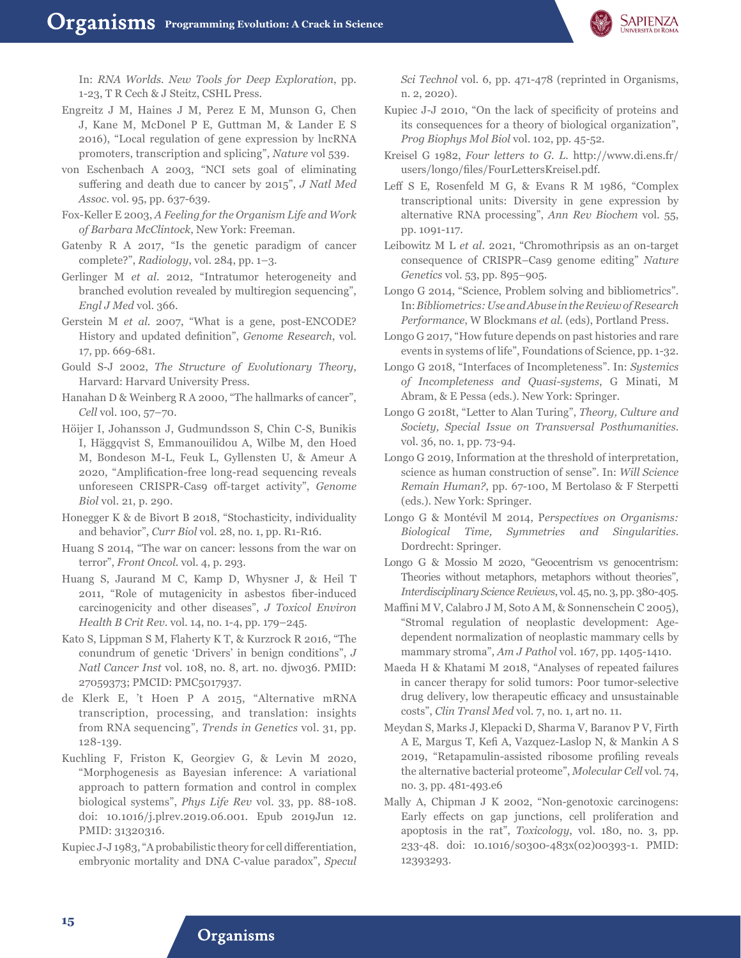

In: *RNA Worlds. New Tools for Deep Exploration*, pp. 1-23, T R Cech & J Steitz, CSHL Press.

- Engreitz J M, Haines J M, Perez E M, Munson G, Chen J, Kane M, McDonel P E, Guttman M, & Lander E S 2016), "Local regulation of gene expression by lncRNA promoters, transcription and splicing", *Nature* vol 539.
- von Eschenbach A 2003, "NCI sets goal of eliminating suffering and death due to cancer by 2015", *J Natl Med Assoc.* vol. 95, pp. 637-639.
- Fox-Keller E 2003, *A Feeling for the Organism Life and Work of Barbara McClintock*, New York: Freeman.
- Gatenby R A 2017, "Is the genetic paradigm of cancer complete?", *Radiology*, vol. 284, pp. 1–3.
- Gerlinger M *et al.* 2012, "Intratumor heterogeneity and branched evolution revealed by multiregion sequencing", *Engl J Med* vol. 366.
- Gerstein M *et al.* 2007, "What is a gene, post-ENCODE? History and updated definition", *Genome Research*, vol. 17, pp. 669-681.
- Gould S-J 2002, *The Structure of Evolutionary Theory*, Harvard: Harvard University Press.
- Hanahan D & Weinberg R A 2000, "The hallmarks of cancer", *Cell* vol. 100, 57–70.
- Höijer I, Johansson J, Gudmundsson S, Chin C-S, Bunikis I, Häggqvist S, Emmanouilidou A, Wilbe M, den Hoed M, Bondeson M-L, Feuk L, Gyllensten U, & Ameur A 2020, "Amplification-free long-read sequencing reveals unforeseen CRISPR-Cas9 off-target activity", *Genome Biol* vol. 21, p. 290.
- Honegger K & de Bivort B 2018, "Stochasticity, individuality and behavior", *Curr Biol* vol. 28, no. 1, pp. R1-R16.
- Huang S 2014, "The war on cancer: lessons from the war on terror", *Front Oncol.* vol. 4, p. 293.
- Huang S, Jaurand M C, Kamp D, Whysner J, & Heil T 2011, "Role of mutagenicity in asbestos fiber-induced carcinogenicity and other diseases", *J Toxicol Environ Health B Crit Rev*. vol. 14, no. 1-4, pp. 179–245.
- Kato S, Lippman S M, Flaherty K T, & Kurzrock R 2016, "The conundrum of genetic 'Drivers' in benign conditions", *J Natl Cancer Inst* vol. 108, no. 8, art. no. djw036. PMID: 27059373; PMCID: PMC5017937.
- de Klerk E, 't Hoen P A 2015, "Alternative mRNA transcription, processing, and translation: insights from RNA sequencing", *Trends in Genetics* vol. 31, pp. 128-139.
- Kuchling F, Friston K, Georgiev G, & Levin M 2020, "Morphogenesis as Bayesian inference: A variational approach to pattern formation and control in complex biological systems", *Phys Life Rev* vol. 33, pp. 88-108. doi: 10.1016/j.plrev.2019.06.001. Epub 2019Jun 12. PMID: 31320316.
- Kupiec J-J 1983, "A probabilistic theory for cell differentiation, embryonic mortality and DNA C-value paradox", *Specul*

*Sci Technol* vol. 6, pp. 471-478 (reprinted in Organisms, n. 2, 2020).

- Kupiec J-J 2010, "On the lack of specificity of proteins and its consequences for a theory of biological organization", *Prog Biophys Mol Biol* vol. 102, pp. 45-52.
- Kreisel G 1982, *Four letters to G. L.* http://www.di.ens.fr/ users/longo/files/FourLettersKreisel.pdf.
- Leff S E, Rosenfeld M G, & Evans R M 1986, "Complex transcriptional units: Diversity in gene expression by alternative RNA processing", *Ann Rev Biochem* vol. 55, pp. 1091-117.
- Leibowitz M L *et al.* 2021, "Chromothripsis as an on-target consequence of CRISPR–Cas9 genome editing" *Nature Genetics* vol. 53, pp. 895–905.
- Longo G 2014, "Science, Problem solving and bibliometrics". In: *Bibliometrics: Use and Abuse in the Review of Research Performance*, W Blockmans *et al.* (eds), Portland Press.
- Longo G 2017, "How future depends on past histories and rare events in systems of life", Foundations of Science, pp. 1-32.
- Longo G 2018, "Interfaces of Incompleteness". In: *Systemics of Incompleteness and Quasi-systems*, G Minati, M Abram, & E Pessa (eds.). New York: Springer.
- Longo G 2018t, "Letter to Alan Turing", *Theory, Culture and Society, Special Issue on Transversal Posthumanities*. vol. 36, no. 1, pp. 73-94.
- Longo G 2019, Information at the threshold of interpretation, science as human construction of sense". In: *Will Science Remain Human?*, pp. 67-100, M Bertolaso & F Sterpetti (eds.). New York: Springer.
- Longo G & Montévil M 2014, P*erspectives on Organisms: Biological Time, Symmetries and Singularities*. Dordrecht: Springer.
- Longo G & Mossio M 2020, "Geocentrism vs genocentrism: Theories without metaphors, metaphors without theories", *Interdisciplinary Science Reviews*, vol. 45, no. 3, pp. 380-405.
- Maffini M V, Calabro J M, Soto A M, & Sonnenschein C 2005), "Stromal regulation of neoplastic development: Agedependent normalization of neoplastic mammary cells by mammary stroma", *Am J Pathol* vol. 167, pp. 1405-1410.
- Maeda H & Khatami M 2018, "Analyses of repeated failures in cancer therapy for solid tumors: Poor tumor-selective drug delivery, low therapeutic efficacy and unsustainable costs", *Clin Transl Med* vol. 7, no. 1, art no. 11.
- Meydan S, Marks J, Klepacki D, Sharma V, Baranov P V, Firth A E, Margus T, Kefi A, Vazquez-Laslop N, & Mankin A S 2019, "Retapamulin-assisted ribosome profiling reveals the alternative bacterial proteome", *Molecular Cell* vol. 74, no. 3, pp. 481-493.e6
- Mally A, Chipman J K 2002, "Non-genotoxic carcinogens: Early effects on gap junctions, cell proliferation and apoptosis in the rat", *Toxicology*, vol. 180, no. 3, pp. 233-48. doi: 10.1016/s0300-483x(02)00393-1. PMID: 12393293.